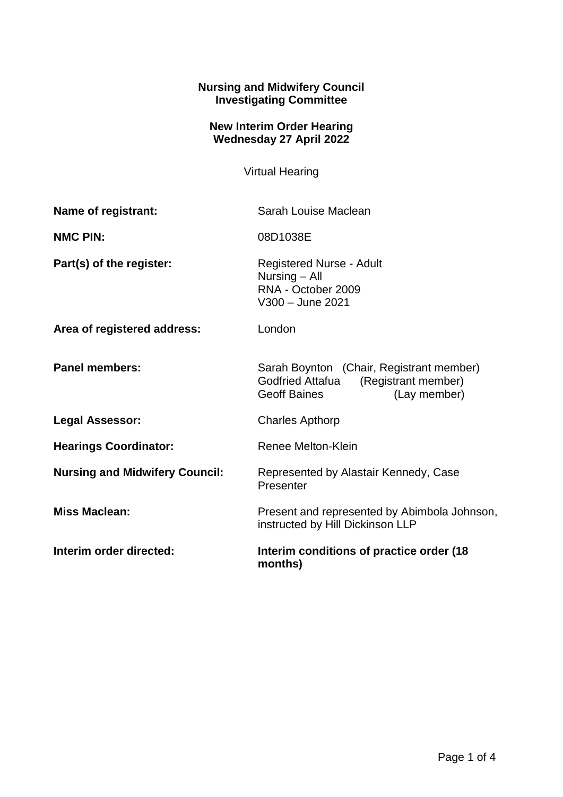## **Nursing and Midwifery Council Investigating Committee**

## **New Interim Order Hearing Wednesday 27 April 2022**

Virtual Hearing

| Name of registrant:                   | Sarah Louise Maclean                                                                                                |
|---------------------------------------|---------------------------------------------------------------------------------------------------------------------|
| <b>NMC PIN:</b>                       | 08D1038E                                                                                                            |
| Part(s) of the register:              | <b>Registered Nurse - Adult</b><br>Nursing - All<br>RNA - October 2009<br>V300 - June 2021                          |
| Area of registered address:           | London                                                                                                              |
| <b>Panel members:</b>                 | Sarah Boynton (Chair, Registrant member)<br>(Registrant member)<br>Godfried Attafua<br>Geoff Baines<br>(Lay member) |
| <b>Legal Assessor:</b>                | <b>Charles Apthorp</b>                                                                                              |
| <b>Hearings Coordinator:</b>          | Renee Melton-Klein                                                                                                  |
| <b>Nursing and Midwifery Council:</b> | Represented by Alastair Kennedy, Case<br>Presenter                                                                  |
| <b>Miss Maclean:</b>                  | Present and represented by Abimbola Johnson,<br>instructed by Hill Dickinson LLP                                    |
| Interim order directed:               | Interim conditions of practice order (18)<br>months)                                                                |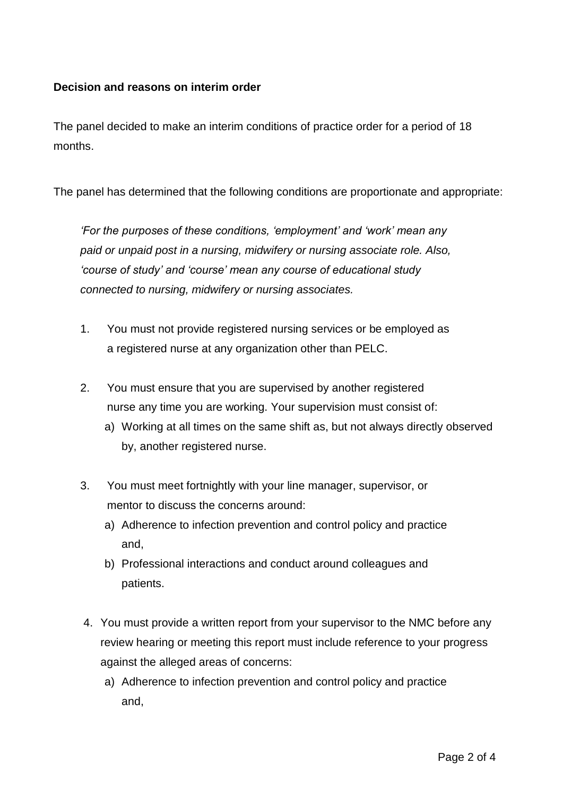## **Decision and reasons on interim order**

The panel decided to make an interim conditions of practice order for a period of 18 months.

The panel has determined that the following conditions are proportionate and appropriate:

*'For the purposes of these conditions, 'employment' and 'work' mean any paid or unpaid post in a nursing, midwifery or nursing associate role. Also, 'course of study' and 'course' mean any course of educational study connected to nursing, midwifery or nursing associates.*

- 1. You must not provide registered nursing services or be employed as a registered nurse at any organization other than PELC.
- 2. You must ensure that you are supervised by another registered nurse any time you are working. Your supervision must consist of:
	- a) Working at all times on the same shift as, but not always directly observed by, another registered nurse.
- 3. You must meet fortnightly with your line manager, supervisor, or mentor to discuss the concerns around:
	- a) Adherence to infection prevention and control policy and practice and,
	- b) Professional interactions and conduct around colleagues and patients.
- 4. You must provide a written report from your supervisor to the NMC before any review hearing or meeting this report must include reference to your progress against the alleged areas of concerns:
	- a) Adherence to infection prevention and control policy and practice and,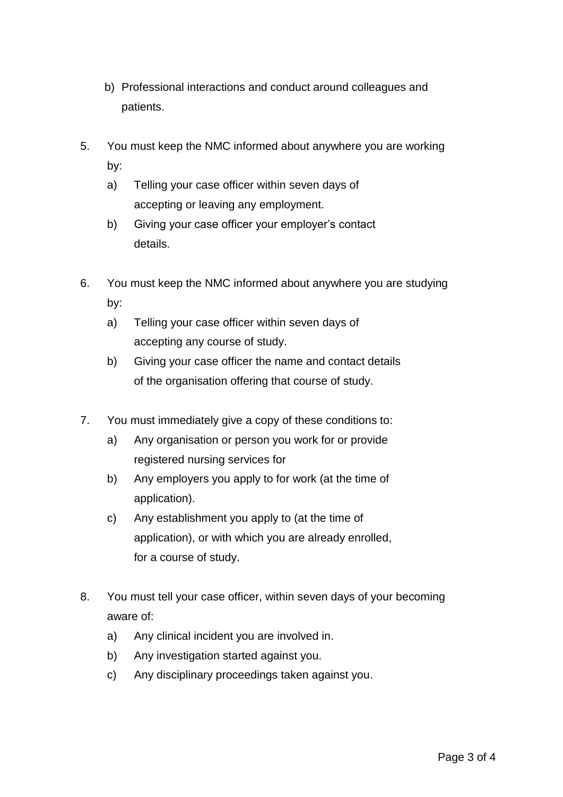- b) Professional interactions and conduct around colleagues and patients.
- 5. You must keep the NMC informed about anywhere you are working by:
	- a) Telling your case officer within seven days of accepting or leaving any employment.
	- b) Giving your case officer your employer's contact details.
- 6. You must keep the NMC informed about anywhere you are studying by:
	- a) Telling your case officer within seven days of accepting any course of study.
	- b) Giving your case officer the name and contact details of the organisation offering that course of study.
- 7. You must immediately give a copy of these conditions to:
	- a) Any organisation or person you work for or provide registered nursing services for
	- b) Any employers you apply to for work (at the time of application).
	- c) Any establishment you apply to (at the time of application), or with which you are already enrolled, for a course of study.
- 8. You must tell your case officer, within seven days of your becoming aware of:
	- a) Any clinical incident you are involved in.
	- b) Any investigation started against you.
	- c) Any disciplinary proceedings taken against you.